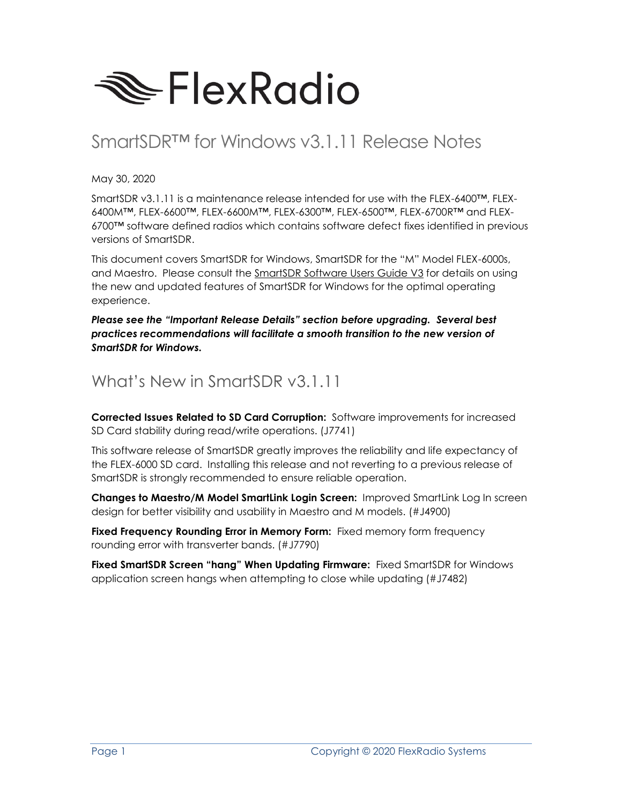

# SmartSDR™ for Windows v3.1.11 Release Notes

May 30, 2020

SmartSDR v3.1.11 is a maintenance release intended for use with the FLEX-6400™, FLEX-6400M™, FLEX-6600™, FLEX-6600M™, FLEX-6300™, FLEX-6500™, FLEX-6700R™ and FLEX-6700™ software defined radios which contains software defect fixes identified in previous versions of SmartSDR.

This document covers SmartSDR for Windows, SmartSDR for the "M" Model FLEX-6000s, and Maestro. Please consult the SmartSDR Software Users Guide V3 for details on using the new and updated features of SmartSDR for Windows for the optimal operating experience.

*Please see the "Important Release Details" section before upgrading. Several best practices recommendations will facilitate a smooth transition to the new version of SmartSDR for Windows.*

### What's New in SmartSDR v3.1.11

**Corrected Issues Related to SD Card Corruption:** Software improvements for increased SD Card stability during read/write operations. (J7741)

This software release of SmartSDR greatly improves the reliability and life expectancy of the FLEX-6000 SD card. Installing this release and not reverting to a previous release of SmartSDR is strongly recommended to ensure reliable operation.

**Changes to Maestro/M Model SmartLink Login Screen:** Improved SmartLink Log In screen design for better visibility and usability in Maestro and M models. (#J4900)

**Fixed Frequency Rounding Error in Memory Form:** Fixed memory form frequency rounding error with transverter bands. (#J7790)

**Fixed SmartSDR Screen "hang" When Updating Firmware:** Fixed SmartSDR for Windows application screen hangs when attempting to close while updating (#J7482)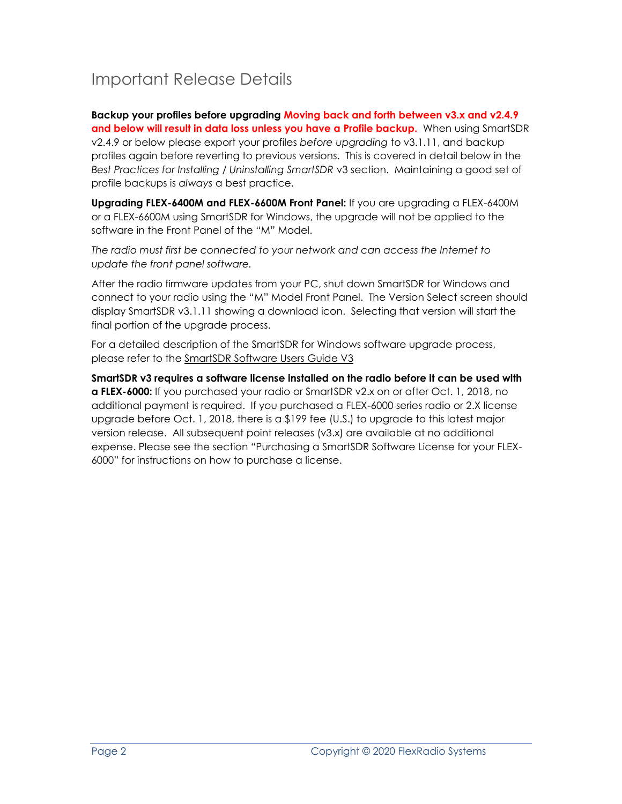# Important Release Details

**Backup your profiles before upgrading Moving back and forth between v3.x and v2.4.9 and below will result in data loss unless you have a Profile backup.** When using SmartSDR v2.4.9 or below please export your profiles *before upgrading* to v3.1.11, and backup profiles again before reverting to previous versions. This is covered in detail below in the *Best Practices for Installing / Uninstalling SmartSDR* v3 section. Maintaining a good set of profile backups is *always* a best practice.

**Upgrading FLEX-6400M and FLEX-6600M Front Panel:** If you are upgrading a FLEX-6400M or a FLEX-6600M using SmartSDR for Windows, the upgrade will not be applied to the software in the Front Panel of the "M" Model.

*The radio must first be connected to your network and can access the Internet to update the front panel software.*

After the radio firmware updates from your PC, shut down SmartSDR for Windows and connect to your radio using the "M" Model Front Panel. The Version Select screen should display SmartSDR v3.1.11 showing a download icon. Selecting that version will start the final portion of the upgrade process.

For a detailed description of the SmartSDR for Windows software upgrade process, please refer to the SmartSDR Software Users Guide V3

**SmartSDR v3 requires a software license installed on the radio before it can be used with a FLEX-6000:** If you purchased your radio or SmartSDR v2.x on or after Oct. 1, 2018, no additional payment is required. If you purchased a FLEX-6000 series radio or 2.X license upgrade before Oct. 1, 2018, there is a \$199 fee (U.S.) to upgrade to this latest major version release. All subsequent point releases (v3.x) are available at no additional expense. Please see the section "Purchasing a SmartSDR Software License for your FLEX-6000" for instructions on how to purchase a license.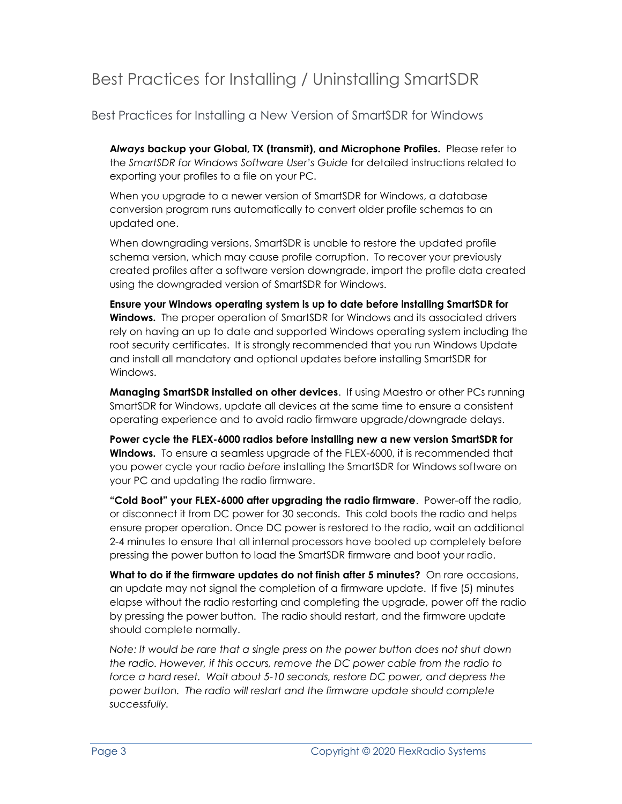## Best Practices for Installing / Uninstalling SmartSDR

Best Practices for Installing a New Version of SmartSDR for Windows

**A***lways* **backup your Global, TX (transmit), and Microphone Profiles.** Please refer to the *SmartSDR for Windows Software User's Guide* for detailed instructions related to exporting your profiles to a file on your PC.

When you upgrade to a newer version of SmartSDR for Windows, a database conversion program runs automatically to convert older profile schemas to an updated one.

When downgrading versions, SmartSDR is unable to restore the updated profile schema version, which may cause profile corruption. To recover your previously created profiles after a software version downgrade, import the profile data created using the downgraded version of SmartSDR for Windows.

**Ensure your Windows operating system is up to date before installing SmartSDR for Windows.** The proper operation of SmartSDR for Windows and its associated drivers rely on having an up to date and supported Windows operating system including the root security certificates. It is strongly recommended that you run Windows Update and install all mandatory and optional updates before installing SmartSDR for Windows.

**Managing SmartSDR installed on other devices**. If using Maestro or other PCs running SmartSDR for Windows, update all devices at the same time to ensure a consistent operating experience and to avoid radio firmware upgrade/downgrade delays.

**Power cycle the FLEX-6000 radios before installing new a new version SmartSDR for Windows.** To ensure a seamless upgrade of the FLEX-6000, it is recommended that you power cycle your radio *before* installing the SmartSDR for Windows software on your PC and updating the radio firmware.

**"Cold Boot" your FLEX-6000 after upgrading the radio firmware**. Power-off the radio, or disconnect it from DC power for 30 seconds. This cold boots the radio and helps ensure proper operation. Once DC power is restored to the radio, wait an additional 2-4 minutes to ensure that all internal processors have booted up completely before pressing the power button to load the SmartSDR firmware and boot your radio.

**What to do if the firmware updates do not finish after 5 minutes?** On rare occasions, an update may not signal the completion of a firmware update. If five (5) minutes elapse without the radio restarting and completing the upgrade, power off the radio by pressing the power button. The radio should restart, and the firmware update should complete normally.

*Note: It would be rare that a single press on the power button does not shut down the radio. However, if this occurs, remove the DC power cable from the radio to force a hard reset. Wait about 5-10 seconds, restore DC power, and depress the power button. The radio will restart and the firmware update should complete successfully.*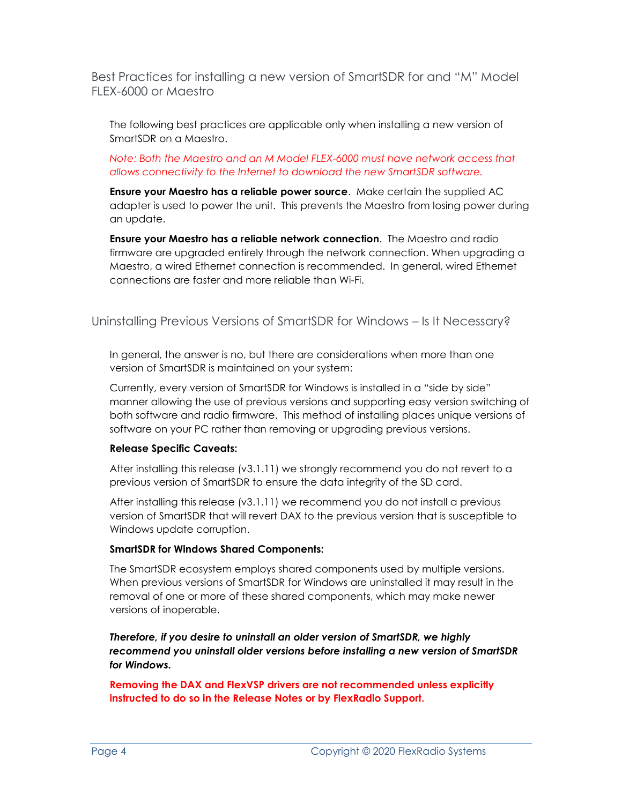Best Practices for installing a new version of SmartSDR for and "M" Model FLEX-6000 or Maestro

The following best practices are applicable only when installing a new version of SmartSDR on a Maestro.

#### *Note: Both the Maestro and an M Model FLEX-6000 must have network access that allows connectivity to the Internet to download the new SmartSDR software.*

**Ensure your Maestro has a reliable power source**. Make certain the supplied AC adapter is used to power the unit. This prevents the Maestro from losing power during an update.

**Ensure your Maestro has a reliable network connection**. The Maestro and radio firmware are upgraded entirely through the network connection. When upgrading a Maestro, a wired Ethernet connection is recommended. In general, wired Ethernet connections are faster and more reliable than Wi-Fi.

### Uninstalling Previous Versions of SmartSDR for Windows – Is It Necessary?

In general, the answer is no, but there are considerations when more than one version of SmartSDR is maintained on your system:

Currently, every version of SmartSDR for Windows is installed in a "side by side" manner allowing the use of previous versions and supporting easy version switching of both software and radio firmware. This method of installing places unique versions of software on your PC rather than removing or upgrading previous versions.

#### **Release Specific Caveats:**

After installing this release (v3.1.11) we strongly recommend you do not revert to a previous version of SmartSDR to ensure the data integrity of the SD card.

After installing this release (v3.1.11) we recommend you do not install a previous version of SmartSDR that will revert DAX to the previous version that is susceptible to Windows update corruption.

#### **SmartSDR for Windows Shared Components:**

The SmartSDR ecosystem employs shared components used by multiple versions. When previous versions of SmartSDR for Windows are uninstalled it may result in the removal of one or more of these shared components, which may make newer versions of inoperable.

*Therefore, if you desire to uninstall an older version of SmartSDR, we highly recommend you uninstall older versions before installing a new version of SmartSDR for Windows.*

**Removing the DAX and FlexVSP drivers are not recommended unless explicitly instructed to do so in the Release Notes or by FlexRadio Support.**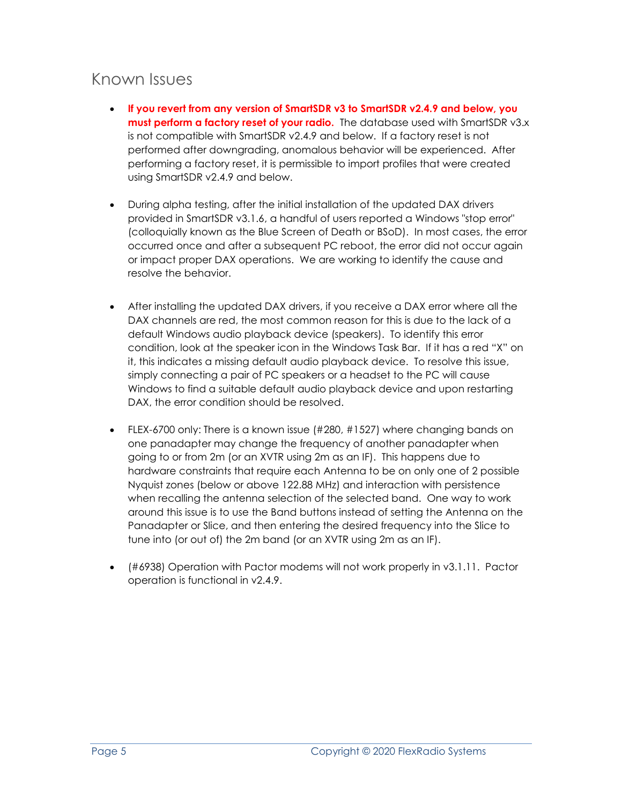### Known Issues

- **If you revert from any version of SmartSDR v3 to SmartSDR v2.4.9 and below, you must perform a factory reset of your radio.** The database used with SmartSDR v3.x is not compatible with SmartSDR v2.4.9 and below. If a factory reset is not performed after downgrading, anomalous behavior will be experienced. After performing a factory reset, it is permissible to import profiles that were created using SmartSDR v2.4.9 and below.
- During alpha testing, after the initial installation of the updated DAX drivers provided in SmartSDR v3.1.6, a handful of users reported a Windows "stop error" (colloquially known as the Blue Screen of Death or BSoD). In most cases, the error occurred once and after a subsequent PC reboot, the error did not occur again or impact proper DAX operations. We are working to identify the cause and resolve the behavior.
- After installing the updated DAX drivers, if you receive a DAX error where all the DAX channels are red, the most common reason for this is due to the lack of a default Windows audio playback device (speakers). To identify this error condition, look at the speaker icon in the Windows Task Bar. If it has a red "X" on it, this indicates a missing default audio playback device. To resolve this issue, simply connecting a pair of PC speakers or a headset to the PC will cause Windows to find a suitable default audio playback device and upon restarting DAX, the error condition should be resolved.
- FLEX-6700 only: There is a known issue (#280, #1527) where changing bands on one panadapter may change the frequency of another panadapter when going to or from 2m (or an XVTR using 2m as an IF). This happens due to hardware constraints that require each Antenna to be on only one of 2 possible Nyquist zones (below or above 122.88 MHz) and interaction with persistence when recalling the antenna selection of the selected band. One way to work around this issue is to use the Band buttons instead of setting the Antenna on the Panadapter or Slice, and then entering the desired frequency into the Slice to tune into (or out of) the 2m band (or an XVTR using 2m as an IF).
- (#6938) Operation with Pactor modems will not work properly in v3.1.11. Pactor operation is functional in v2.4.9.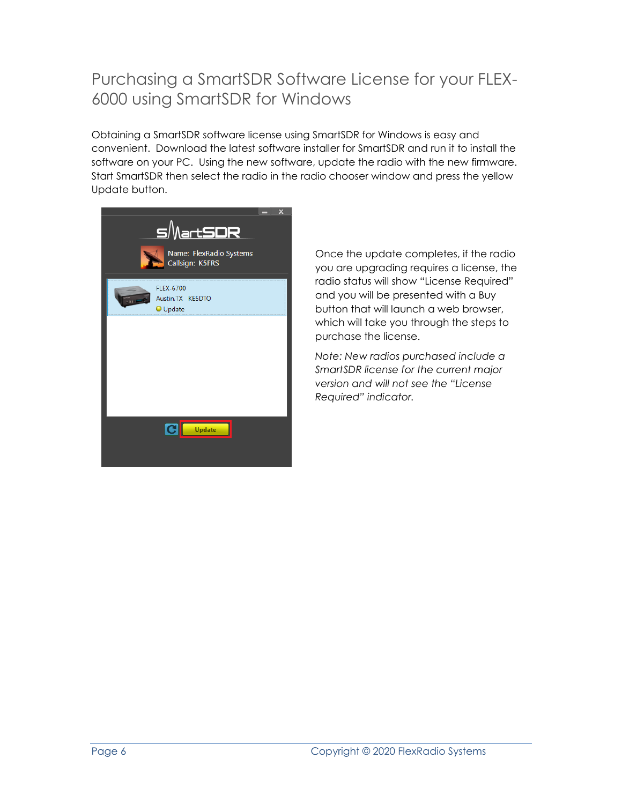### Purchasing a SmartSDR Software License for your FLEX-6000 using SmartSDR for Windows

Obtaining a SmartSDR software license using SmartSDR for Windows is easy and convenient. Download the latest software installer for SmartSDR and run it to install the software on your PC. Using the new software, update the radio with the new firmware. Start SmartSDR then select the radio in the radio chooser window and press the yellow Update button.



Once the update completes, if the radio you are upgrading requires a license, the radio status will show "License Required" and you will be presented with a Buy button that will launch a web browser, which will take you through the steps to purchase the license.

*Note: New radios purchased include a SmartSDR license for the current major version and will not see the "License Required" indicator.*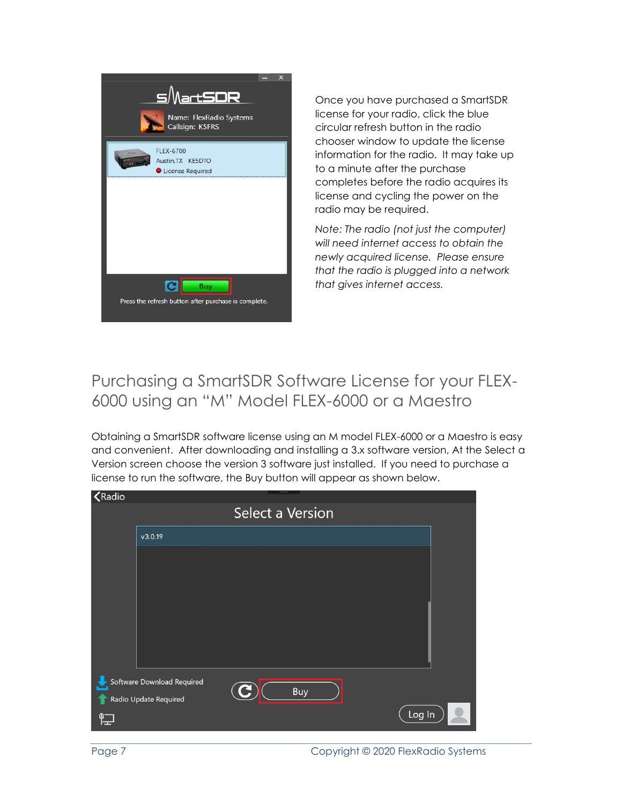

Once you have purchased a SmartSDR license for your radio, click the blue circular refresh button in the radio chooser window to update the license information for the radio. It may take up to a minute after the purchase completes before the radio acquires its license and cycling the power on the radio may be required.

*Note: The radio (not just the computer) will need internet access to obtain the newly acquired license. Please ensure that the radio is plugged into a network that gives internet access.*

### Purchasing a SmartSDR Software License for your FLEX-6000 using an "M" Model FLEX-6000 or a Maestro

Obtaining a SmartSDR software license using an M model FLEX-6000 or a Maestro is easy and convenient. After downloading and installing a 3.x software version, At the Select a Version screen choose the version 3 software just installed. If you need to purchase a license to run the software, the Buy button will appear as shown below.





Page 7 Copyright © 2020 FlexRadio Systems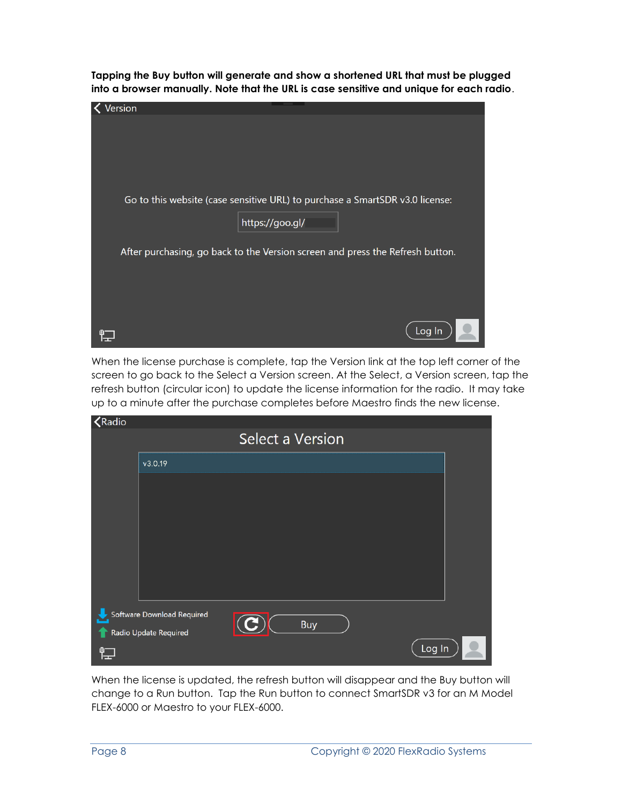**Tapping the Buy button will generate and show a shortened URL that must be plugged into a browser manually. Note that the URL is case sensitive and unique for each radio**.



When the license purchase is complete, tap the Version link at the top left corner of the screen to go back to the Select a Version screen. At the Select, a Version screen, tap the refresh button (circular icon) to update the license information for the radio. It may take up to a minute after the purchase completes before Maestro finds the new license.

| <b>K</b> Radio                                      |                         |  |            |        |  |
|-----------------------------------------------------|-------------------------|--|------------|--------|--|
|                                                     | <b>Select a Version</b> |  |            |        |  |
|                                                     | v3.0.19                 |  |            |        |  |
|                                                     |                         |  |            |        |  |
|                                                     |                         |  |            |        |  |
|                                                     |                         |  |            |        |  |
|                                                     |                         |  |            |        |  |
|                                                     |                         |  |            |        |  |
|                                                     |                         |  |            |        |  |
| Software Download Required<br>Radio Update Required |                         |  | <b>Buy</b> |        |  |
| 睈                                                   |                         |  |            | Log In |  |

When the license is updated, the refresh button will disappear and the Buy button will change to a Run button. Tap the Run button to connect SmartSDR v3 for an M Model FLEX-6000 or Maestro to your FLEX-6000.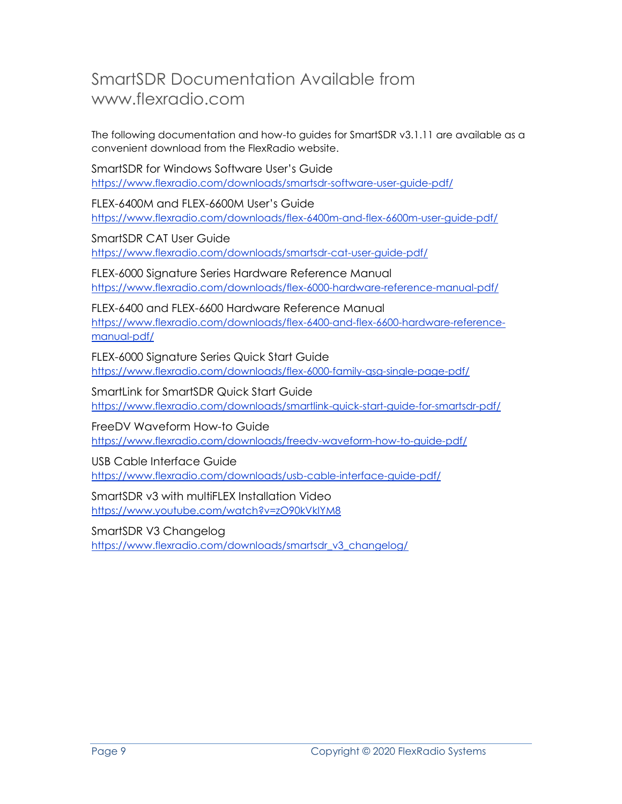### SmartSDR Documentation Available from www.flexradio.com

The following documentation and how-to guides for SmartSDR v3.1.11 are available as a convenient download from the FlexRadio website.

SmartSDR for Windows Software User's Guide <https://www.flexradio.com/downloads/smartsdr-software-user-guide-pdf/>

FLEX-6400M and FLEX-6600M User's Guide <https://www.flexradio.com/downloads/flex-6400m-and-flex-6600m-user-guide-pdf/>

SmartSDR CAT User Guide <https://www.flexradio.com/downloads/smartsdr-cat-user-guide-pdf/>

FLEX-6000 Signature Series Hardware Reference Manual <https://www.flexradio.com/downloads/flex-6000-hardware-reference-manual-pdf/>

FLEX-6400 and FLEX-6600 Hardware Reference Manual [https://www.flexradio.com/downloads/flex-6400-and-flex-6600-hardware-reference](https://www.flexradio.com/downloads/flex-6400-and-flex-6600-hardware-reference-manual-pdf/)[manual-pdf/](https://www.flexradio.com/downloads/flex-6400-and-flex-6600-hardware-reference-manual-pdf/)

FLEX-6000 Signature Series Quick Start Guide <https://www.flexradio.com/downloads/flex-6000-family-qsg-single-page-pdf/>

SmartLink for SmartSDR Quick Start Guide <https://www.flexradio.com/downloads/smartlink-quick-start-guide-for-smartsdr-pdf/>

FreeDV Waveform How-to Guide <https://www.flexradio.com/downloads/freedv-waveform-how-to-guide-pdf/>

USB Cable Interface Guide <https://www.flexradio.com/downloads/usb-cable-interface-guide-pdf/>

SmartSDR v3 with multiFLEX Installation Video <https://www.youtube.com/watch?v=zO90kVkIYM8>

SmartSDR V3 Changelog https://www.flexradio.com/downloads/smartsdr\_v3\_changelog/